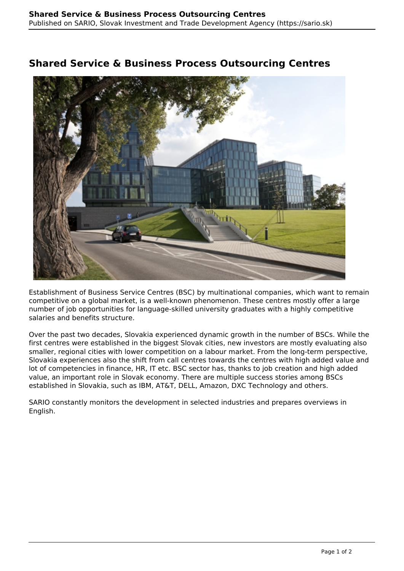## **Shared Service & Business Process Outsourcing Centres**



Establishment of Business Service Centres (BSC) by multinational companies, which want to remain competitive on a global market, is a well-known phenomenon. These centres mostly offer a large number of job opportunities for language-skilled university graduates with a highly competitive salaries and benefits structure.

Over the past two decades, Slovakia experienced dynamic growth in the number of BSCs. While the first centres were established in the biggest Slovak cities, new investors are mostly evaluating also smaller, regional cities with lower competition on a labour market. From the long-term perspective, Slovakia experiences also the shift from call centres towards the centres with high added value and lot of competencies in finance, HR, IT etc. BSC sector has, thanks to job creation and high added value, an important role in Slovak economy. There are multiple success stories among BSCs established in Slovakia, such as IBM, AT&T, DELL, Amazon, DXC Technology and others.

SARIO constantly monitors the development in selected industries and prepares overviews in English.